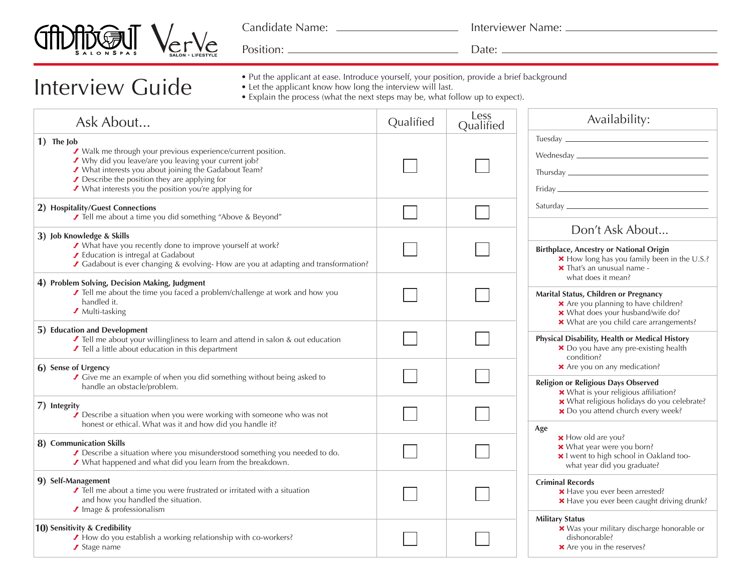

Interview Guide

Candidate Name:

Interviewer Name:

Position: Date:

- Put the applicant at ease. Introduce yourself, your position, provide a brief background
- Let the applicant know how long the interview will last.
	- Explain the process (what the next steps may be, what follow up to expect).

| Ask About                                                                                                                                                                                                                                                                                            | Qualified | Less<br>Qualified | Availability:                                                                                                                                                                                                                                                           |  |
|------------------------------------------------------------------------------------------------------------------------------------------------------------------------------------------------------------------------------------------------------------------------------------------------------|-----------|-------------------|-------------------------------------------------------------------------------------------------------------------------------------------------------------------------------------------------------------------------------------------------------------------------|--|
| 1) The Job<br>✔ Walk me through your previous experience/current position.<br>✔ Why did you leave/are you leaving your current job?<br>✔ What interests you about joining the Gadabout Team?<br>Describe the position they are applying for<br>✔ What interests you the position you're applying for |           |                   |                                                                                                                                                                                                                                                                         |  |
| 2) Hospitality/Guest Connections<br>✔ Tell me about a time you did something "Above & Beyond"                                                                                                                                                                                                        |           |                   |                                                                                                                                                                                                                                                                         |  |
| 3) Job Knowledge & Skills<br>✔ What have you recently done to improve yourself at work?<br>✔ Education is intregal at Gadabout<br>✔ Gadabout is ever changing & evolving-How are you at adapting and transformation?                                                                                 |           |                   | Don't Ask About<br><b>Birthplace, Ancestry or National Origin</b><br>× How long has you family been in the U.S.?<br>X That's an unusual name -                                                                                                                          |  |
| 4) Problem Solving, Decision Making, Judgment<br>✔ Tell me about the time you faced a problem/challenge at work and how you<br>handled it.<br>✔ Multi-tasking                                                                                                                                        |           |                   | what does it mean?<br>Marital Status, Children or Pregnancy<br>× Are you planning to have children?<br>× What does your husband/wife do?                                                                                                                                |  |
| 5) Education and Development<br>Tell me about your willingliness to learn and attend in salon & out education<br>✔ Tell a little about education in this department                                                                                                                                  |           |                   | × What are you child care arrangements?<br>Physical Disability, Health or Medical History<br>× Do you have any pre-existing health<br>condition?<br>× Are you on any medication?<br><b>Religion or Religious Days Observed</b><br>× What is your religious affiliation? |  |
| 6) Sense of Urgency<br>✔ Give me an example of when you did something without being asked to<br>handle an obstacle/problem.                                                                                                                                                                          |           |                   |                                                                                                                                                                                                                                                                         |  |
| 7) Integrity<br>$\overline{\prime}$ Describe a situation when you were working with someone who was not<br>honest or ethical. What was it and how did you handle it?                                                                                                                                 |           |                   | * What religious holidays do you celebrate?<br>× Do you attend church every week?                                                                                                                                                                                       |  |
| 8) Communication Skills<br>Describe a situation where you misunderstood something you needed to do.<br>✔ What happened and what did you learn from the breakdown.                                                                                                                                    |           |                   | Age<br><b>×</b> How old are you?<br>* What year were you born?<br>× I went to high school in Oakland too-<br>what year did you graduate?                                                                                                                                |  |
| 9) Self-Management<br>✔ Tell me about a time you were frustrated or irritated with a situation<br>and how you handled the situation.<br>Image & professionalism                                                                                                                                      |           |                   | <b>Criminal Records</b><br>× Have you ever been arrested?<br>× Have you ever been caught driving drunk?                                                                                                                                                                 |  |
| 10) Sensitivity & Credibility<br>✔ How do you establish a working relationship with co-workers?<br>✔ Stage name                                                                                                                                                                                      |           |                   | <b>Military Status</b><br>× Was your military discharge honorable or<br>dishonorable?<br>× Are you in the reserves?                                                                                                                                                     |  |